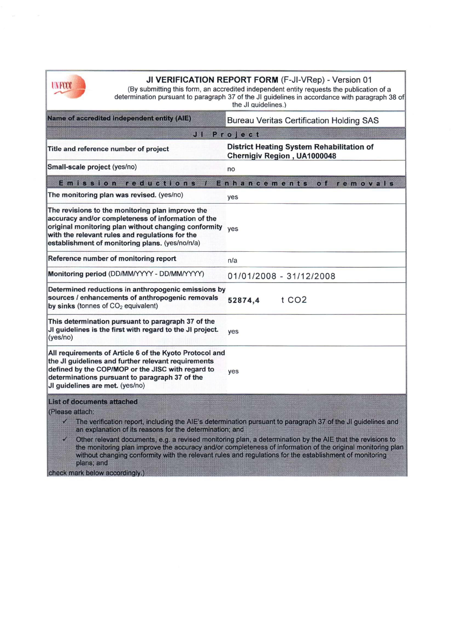

| UNFCCC                                                                                                                                                                                                                                                                   | <b>JI VERIFICATION REPORT FORM (F-JI-VRep) - Version 01</b><br>(By submitting this form, an accredited independent entity requests the publication of a<br>determination pursuant to paragraph 37 of the JI guidelines in accordance with paragraph 38 of<br>the JI quidelines.)                                                                                                                                                                     |
|--------------------------------------------------------------------------------------------------------------------------------------------------------------------------------------------------------------------------------------------------------------------------|------------------------------------------------------------------------------------------------------------------------------------------------------------------------------------------------------------------------------------------------------------------------------------------------------------------------------------------------------------------------------------------------------------------------------------------------------|
| Name of accredited independent entity (AIE)                                                                                                                                                                                                                              | <b>Bureau Veritas Certification Holding SAS</b>                                                                                                                                                                                                                                                                                                                                                                                                      |
| Project<br>JM                                                                                                                                                                                                                                                            |                                                                                                                                                                                                                                                                                                                                                                                                                                                      |
| Title and reference number of project                                                                                                                                                                                                                                    | <b>District Heating System Rehabilitation of</b><br>Chernigiv Region, UA1000048                                                                                                                                                                                                                                                                                                                                                                      |
| Small-scale project (yes/no)                                                                                                                                                                                                                                             | no                                                                                                                                                                                                                                                                                                                                                                                                                                                   |
| Emission<br>reductions<br>78                                                                                                                                                                                                                                             | Enhancements<br>of removals                                                                                                                                                                                                                                                                                                                                                                                                                          |
| The monitoring plan was revised. (yes/no)                                                                                                                                                                                                                                | yes                                                                                                                                                                                                                                                                                                                                                                                                                                                  |
| The revisions to the monitoring plan improve the<br>accuracy and/or completeness of information of the<br>original monitoring plan without changing conformity ves<br>with the relevant rules and regulations for the<br>establishment of monitoring plans. (yes/no/n/a) |                                                                                                                                                                                                                                                                                                                                                                                                                                                      |
| Reference number of monitoring report                                                                                                                                                                                                                                    | n/a                                                                                                                                                                                                                                                                                                                                                                                                                                                  |
| Monitoring period (DD/MM/YYYY - DD/MM/YYYY)                                                                                                                                                                                                                              | 01/01/2008 - 31/12/2008                                                                                                                                                                                                                                                                                                                                                                                                                              |
| Determined reductions in anthropogenic emissions by<br>sources / enhancements of anthropogenic removals<br>by sinks (tonnes of $CO2$ equivalent)                                                                                                                         | t CO <sub>2</sub><br>52874,4                                                                                                                                                                                                                                                                                                                                                                                                                         |
| This determination pursuant to paragraph 37 of the<br>JI guidelines is the first with regard to the JI project.<br>(yes/no)                                                                                                                                              | yes                                                                                                                                                                                                                                                                                                                                                                                                                                                  |
| All requirements of Article 6 of the Kyoto Protocol and<br>the JI guidelines and further relevant requirements<br>defined by the COP/MOP or the JISC with regard to<br>determinations pursuant to paragraph 37 of the<br>JI guidelines are met. (yes/no)                 | yes                                                                                                                                                                                                                                                                                                                                                                                                                                                  |
| <b>List of documents attached</b><br>(Please attach:<br>M<br>an explanation of its reasons for the determination; and<br>plans; and<br>check mark below accordingly.)                                                                                                    | The verification report, including the AIE's determination pursuant to paragraph 37 of the JI guidelines and<br>Other relevant documents, e.g. a revised monitoring plan, a determination by the AIE that the revisions to<br>the monitoring plan improve the accuracy and/or completeness of information of the original monitoring plan<br>without changing conformity with the relevant rules and regulations for the establishment of monitoring |